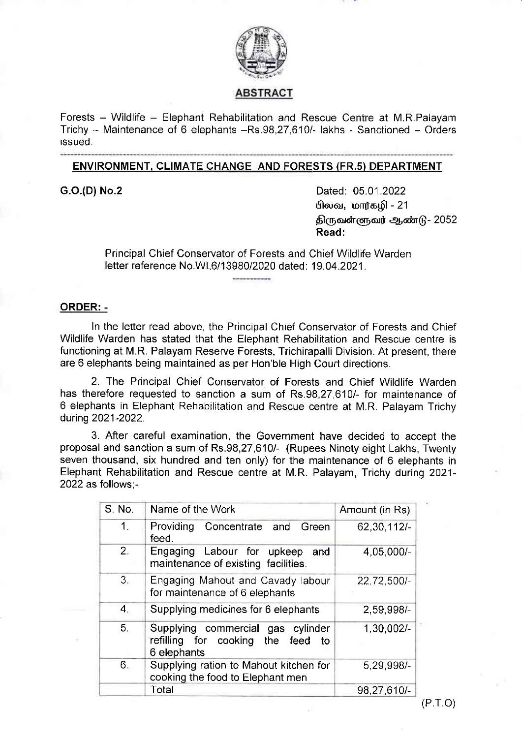

### **ABSTRACT**

Forests - Wildlife - Elephant Rehabilitation and Rescue Centre at M,R.Palayam Trichy - Maintenance of 6 elephants -Rs.98,27,610/- lakhs - Sanctioned - Orders issued.

## ENVIRONMENT. CLIMATE CHANGE AND FORESTS (FR.5) DEPARTMENT

**G.O.(D) No.2** Dated: 05.01.2022 பிலவ, மார்கழி - 21 திருவள்ளுவர் ஆண்டு - 2052 Read:

> Principal Chief Conservator of Forests and Chief Wildlife Warden letter reference No.WL6/13980/2020 dated: 19.04.2021.

#### ORDER: -

ln the letter read above, the Principal Chief Conservator of Forests and Chief Wildlife Warden has stated that the Elephant Rehabilitation and Rescue centre is functioning at M.R. Palayam Reserve Forests, Trichirapalli Division. At present, there are 6 elephants being maintained as per Hon'ble High Court directions.

2. The Principal Chief Conservator of Forests and Chief Wildlife Warden has therefore requested to sanction a sum of Rs.98,27,610/- for maintenance of 6 elephants in Elephant Rehabilitation and Rescue centre at M.R. Palayam Trichy during 2021-2022.

3. After careful examination, the Government have decided to accept the proposal and sanction a sum of Rs.98,27,610/- (Rupees Ninety eight Lakhs, Twenty seven thousand, six hundred and ten only) for the maintenance of 6 elephants in Elephant Rehabilitation and Rescue centre at M.R. Palayam, Trichy during 2021- 2022 as follows;-

| S. No.         | Name of the Work                                                                         | Amount (in Rs) |
|----------------|------------------------------------------------------------------------------------------|----------------|
| 1 <sub>1</sub> | Providing Concentrate and Green<br>feed.                                                 | 62, 30, 112/-  |
| 2.             | Engaging Labour for upkeep and<br>maintenance of existing facilities.                    | 4,05,000/-     |
| 3.             | Engaging Mahout and Cavady labour<br>for maintenance of 6 elephants                      | 22,72,500/-    |
| 4.             | Supplying medicines for 6 elephants                                                      | 2,59,998/-     |
| 5.             | Supplying commercial gas cylinder<br>refilling for cooking the feed<br>to<br>6 elephants | 1,30,002/-     |
| 6.             | Supplying ration to Mahout kitchen for<br>cooking the food to Elephant men               | 5,29,998/-     |
|                | Total                                                                                    | 98,27,610/-    |

 $(P.T.O)$